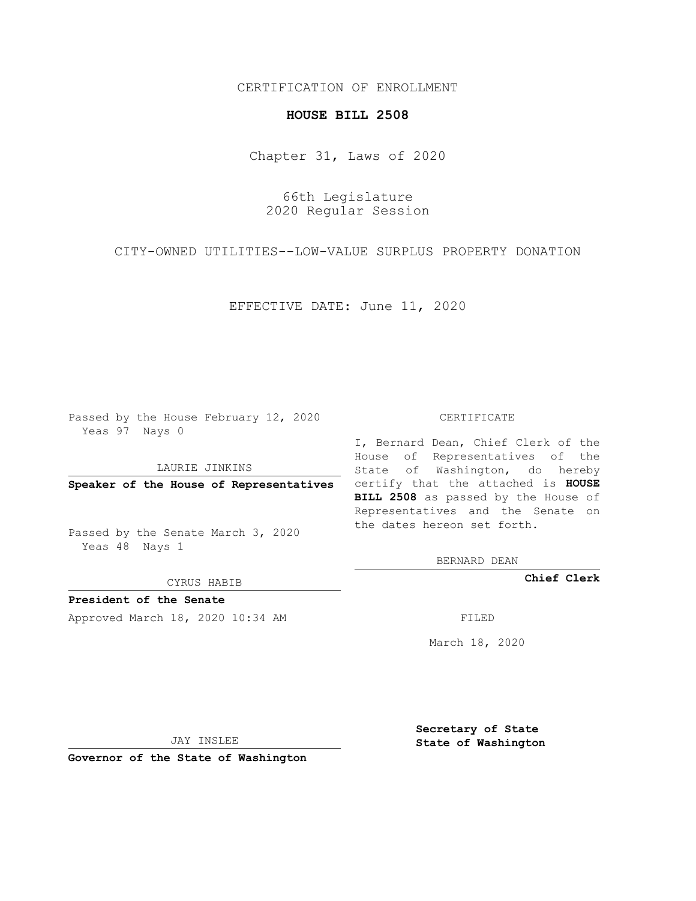## CERTIFICATION OF ENROLLMENT

## **HOUSE BILL 2508**

Chapter 31, Laws of 2020

66th Legislature 2020 Regular Session

CITY-OWNED UTILITIES--LOW-VALUE SURPLUS PROPERTY DONATION

EFFECTIVE DATE: June 11, 2020

Passed by the House February 12, 2020 Yeas 97 Nays 0

LAURIE JINKINS

Passed by the Senate March 3, 2020 Yeas 48 Nays 1

CYRUS HABIB

**President of the Senate**

Approved March 18, 2020 10:34 AM FILED

## CERTIFICATE

**Speaker of the House of Representatives** certify that the attached is **HOUSE** I, Bernard Dean, Chief Clerk of the House of Representatives of the State of Washington, do hereby **BILL 2508** as passed by the House of Representatives and the Senate on the dates hereon set forth.

BERNARD DEAN

**Chief Clerk**

March 18, 2020

JAY INSLEE

**Governor of the State of Washington**

**Secretary of State State of Washington**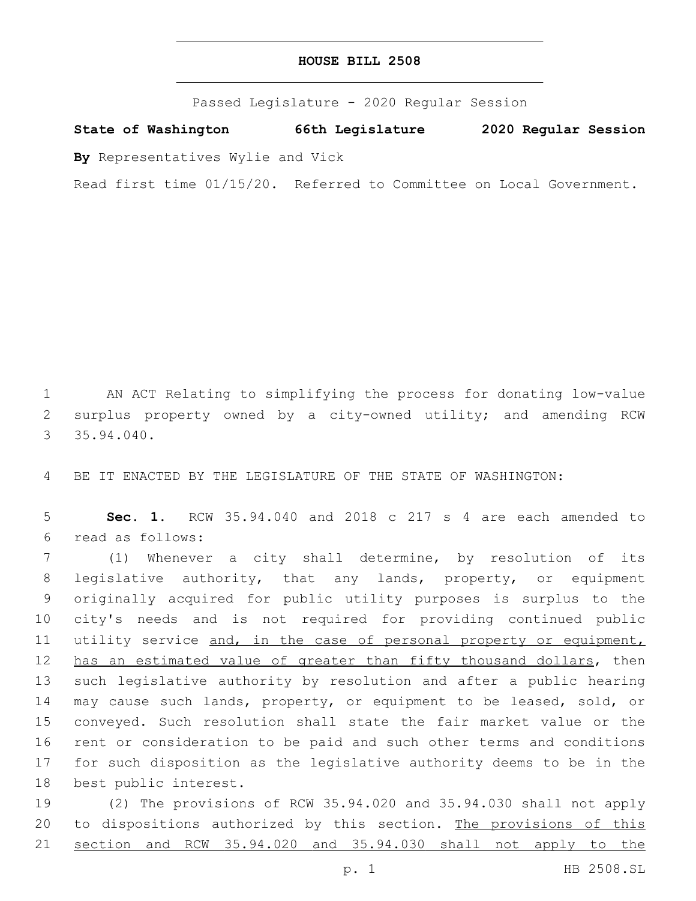## **HOUSE BILL 2508**

Passed Legislature - 2020 Regular Session

**State of Washington 66th Legislature 2020 Regular Session**

**By** Representatives Wylie and Vick

Read first time 01/15/20. Referred to Committee on Local Government.

1 AN ACT Relating to simplifying the process for donating low-value 2 surplus property owned by a city-owned utility; and amending RCW 35.94.040.

4 BE IT ENACTED BY THE LEGISLATURE OF THE STATE OF WASHINGTON:

5 **Sec. 1.** RCW 35.94.040 and 2018 c 217 s 4 are each amended to read as follows:6

 (1) Whenever a city shall determine, by resolution of its legislative authority, that any lands, property, or equipment originally acquired for public utility purposes is surplus to the city's needs and is not required for providing continued public 11 utility service and, in the case of personal property or equipment, 12 has an estimated value of greater than fifty thousand dollars, then such legislative authority by resolution and after a public hearing may cause such lands, property, or equipment to be leased, sold, or conveyed. Such resolution shall state the fair market value or the rent or consideration to be paid and such other terms and conditions for such disposition as the legislative authority deems to be in the 18 best public interest.

19 (2) The provisions of RCW 35.94.020 and 35.94.030 shall not apply 20 to dispositions authorized by this section. The provisions of this 21 section and RCW 35.94.020 and 35.94.030 shall not apply to the